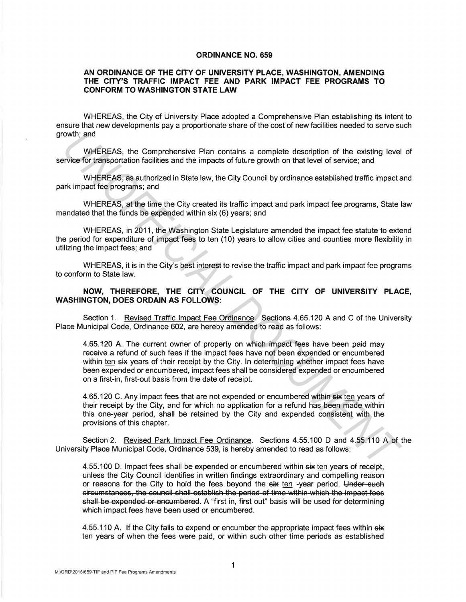## **ORDINANCE NO. 659**

## **AN ORDINANCE OF THE CITY OF UNIVERSITY PLACE, WASHINGTON, AMENDING THE CITY'S TRAFFIC IMPACT FEE AND PARK IMPACT FEE PROGRAMS TO CONFORM TO WASHINGTON STATE LAW**

WHEREAS, the City of University Place adopted a Comprehensive Plan establishing its intent to ensure that new developments pay a proportionate share of the cost of new facilities needed to serve such growth; and

WHEREAS, the Comprehensive Plan contains a complete description of the existing level of service for transportation facilities and the impacts of future growth on that level of service; and

WHEREAS, as authorized in State law, the City Council by ordinance established traffic impact and park impact fee programs; and

WHEREAS, at the time the City created its traffic impact and park impact fee programs, State law mandated that the funds be expended within six (6) years; and

WHEREAS, in 2011, the Washington State Legislature amended the impact fee statute to extend the period for expenditure of impact fees to ten (10) years to allow cities and counties more flexibility in utilizing the impact fees; and

WHEREAS, it is in the City's best interest to revise the traffic impact and park impact fee programs to conform to State law.

**NOW, THEREFORE, THE CITY COUNCIL OF THE CITY OF UNIVERSITY PLACE, WASHINGTON, DOES ORDAIN AS FOLLOWS:** 

Section 1. Revised Traffic lmoact Fee Ordinance. Sections 4.65.120 A and C of the University Place Municipal Code, Ordinance 602, are hereby amended to read as follows:

4.65.120 A. The current owner of property on which impact fees have been paid may receive a refund of such fees if the impact fees have not been expended or encumbered within ten six years of their receipt by the City. In determining whether impact fees have been expended or encumbered, impact fees shall be considered expended or encumbered on a first-in, first-out basis from the date of receipt. with; and<br>
WHEREAS, the Comprehensive Plan contains a complete description of the existing level<br>
Private for transportation facilities and the impacts of tuture growth on that level of service; and<br>
WHEREAS, as authorized

4.65.120 C. Any impact fees that are not expended or encumbered within six ten years of their receipt by the City, and for which no application for a refund has been made within this one-year period, shall be retained by the City and expended consistent with the provisions of this chapter.

Section 2. Revised Park Impact Fee Ordinance. Sections 4.55.100 D and 4.55.110 A of the University Place Municipal Code, Ordinance 539, is hereby amended to read as follows:

4.55.100 D. Impact fees shall be expended or encumbered within six ten years of receipt, unless the City Council identifies in written findings extraordinary and compelling reason or reasons for the City to hold the fees beyond the six ten -year period. Under such circumstances, the council shall establish the period of time within which the impact fees shall be expended or encumbered. A "first in, first out" basis will be used for determining which impact fees have been used or encumbered.

4.55.110 A. If the City fails to expend or encumber the appropriate impact fees within  $s\ddot{x}$ ten years of when the fees were paid, or within such other time periods as established